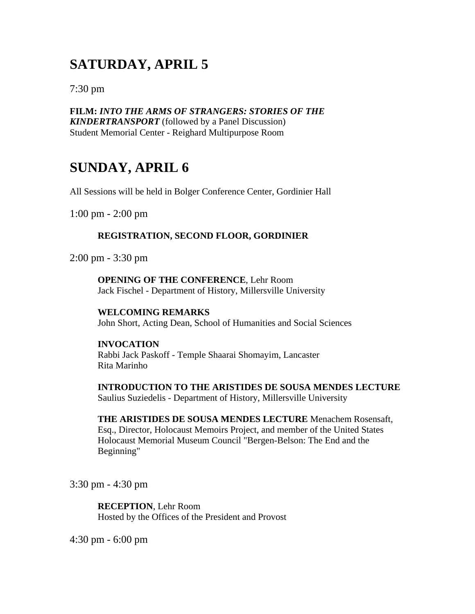# **SATURDAY, APRIL 5**

7:30 pm

**FILM:** *INTO THE ARMS OF STRANGERS: STORIES OF THE KINDERTRANSPORT* (followed by a Panel Discussion) Student Memorial Center - Reighard Multipurpose Room

# **SUNDAY, APRIL 6**

All Sessions will be held in Bolger Conference Center, Gordinier Hall

1:00 pm - 2:00 pm

# **REGISTRATION, SECOND FLOOR, GORDINIER**

2:00 pm - 3:30 pm

**OPENING OF THE CONFERENCE**, Lehr Room Jack Fischel - Department of History, Millersville University

# **WELCOMING REMARKS**

John Short, Acting Dean, School of Humanities and Social Sciences

## **INVOCATION**

Rabbi Jack Paskoff - Temple Shaarai Shomayim, Lancaster Rita Marinho

**INTRODUCTION TO THE ARISTIDES DE SOUSA MENDES LECTURE** Saulius Suziedelis - Department of History, Millersville University

**THE ARISTIDES DE SOUSA MENDES LECTURE** Menachem Rosensaft, Esq., Director, Holocaust Memoirs Project, and member of the United States Holocaust Memorial Museum Council "Bergen-Belson: The End and the Beginning"

3:30 pm - 4:30 pm

**RECEPTION**, Lehr Room Hosted by the Offices of the President and Provost

4:30 pm - 6:00 pm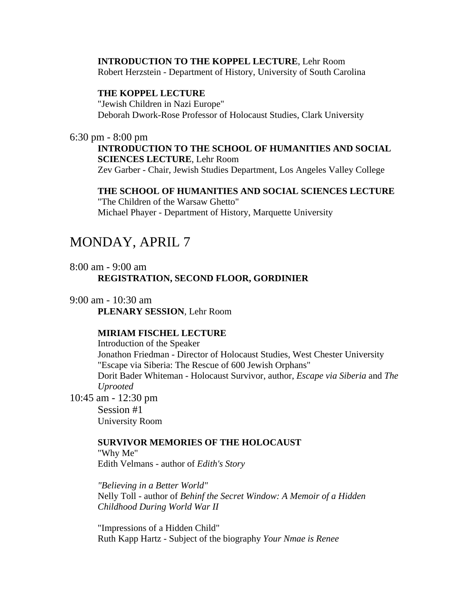#### **INTRODUCTION TO THE KOPPEL LECTURE**, Lehr Room

Robert Herzstein - Department of History, University of South Carolina

### **THE KOPPEL LECTURE**

"Jewish Children in Nazi Europe" Deborah Dwork-Rose Professor of Holocaust Studies, Clark University

### 6:30 pm - 8:00 pm

# **INTRODUCTION TO THE SCHOOL OF HUMANITIES AND SOCIAL SCIENCES LECTURE**, Lehr Room

Zev Garber - Chair, Jewish Studies Department, Los Angeles Valley College

### **THE SCHOOL OF HUMANITIES AND SOCIAL SCIENCES LECTURE**

"The Children of the Warsaw Ghetto" Michael Phayer - Department of History, Marquette University

# MONDAY, APRIL 7

# 8:00 am - 9:00 am **REGISTRATION, SECOND FLOOR, GORDINIER**

# 9:00 am - 10:30 am

**PLENARY SESSION**, Lehr Room

## **MIRIAM FISCHEL LECTURE**

Introduction of the Speaker Jonathon Friedman - Director of Holocaust Studies, West Chester University "Escape via Siberia: The Rescue of 600 Jewish Orphans" Dorit Bader Whiteman - Holocaust Survivor, author, *Escape via Siberia* and *The Uprooted*

10:45 am - 12:30 pm

Session #1 University Room

### **SURVIVOR MEMORIES OF THE HOLOCAUST**

"Why Me" Edith Velmans - author of *Edith's Story*

*"Believing in a Better World"* Nelly Toll - author of *Behinf the Secret Window: A Memoir of a Hidden Childhood During World War II*

"Impressions of a Hidden Child" Ruth Kapp Hartz - Subject of the biography *Your Nmae is Renee*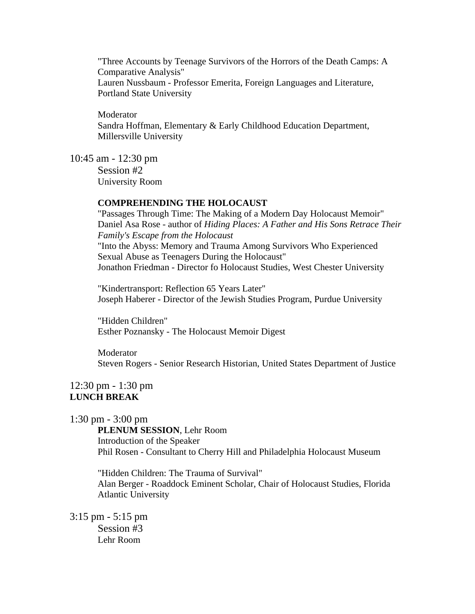"Three Accounts by Teenage Survivors of the Horrors of the Death Camps: A Comparative Analysis" Lauren Nussbaum - Professor Emerita, Foreign Languages and Literature, Portland State University

Moderator Sandra Hoffman, Elementary & Early Childhood Education Department, Millersville University

10:45 am - 12:30 pm

Session #2 University Room

### **COMPREHENDING THE HOLOCAUST**

"Passages Through Time: The Making of a Modern Day Holocaust Memoir" Daniel Asa Rose - author of *Hiding Places: A Father and His Sons Retrace Their Family's Escape from the Holocaust* "Into the Abyss: Memory and Trauma Among Survivors Who Experienced Sexual Abuse as Teenagers During the Holocaust" Jonathon Friedman - Director fo Holocaust Studies, West Chester University

"Kindertransport: Reflection 65 Years Later" Joseph Haberer - Director of the Jewish Studies Program, Purdue University

"Hidden Children" Esther Poznansky - The Holocaust Memoir Digest

Moderator Steven Rogers - Senior Research Historian, United States Department of Justice

# 12:30 pm - 1:30 pm **LUNCH BREAK**

1:30 pm - 3:00 pm

**PLENUM SESSION**, Lehr Room Introduction of the Speaker Phil Rosen - Consultant to Cherry Hill and Philadelphia Holocaust Museum

"Hidden Children: The Trauma of Survival" Alan Berger - Roaddock Eminent Scholar, Chair of Holocaust Studies, Florida Atlantic University

3:15 pm - 5:15 pm Session #3

Lehr Room